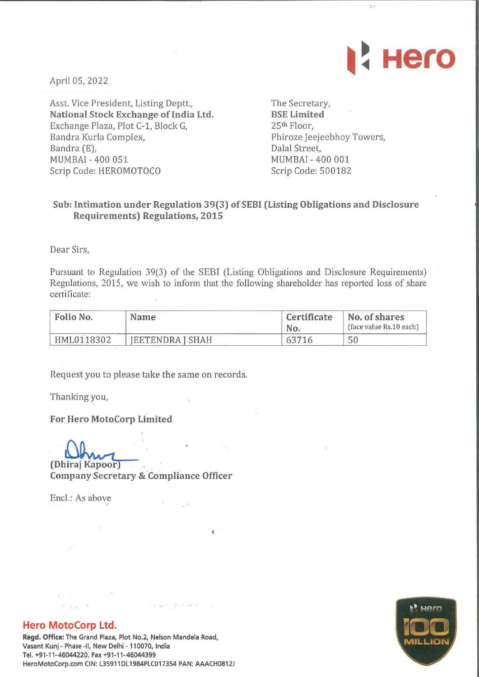

 $\ddot{\phantom{a}}$ 

April OS, 2022

Asst. Vice President, Listing Deptt., National Stock Exchange of India Ltd. Exchange Plaza, Plot C-1, Block G, Bandra Kurla Complex, Bandra (E), MUMBAI- 400 051 Scrip Code: HEROMOTOCO

The Secretary, BSE Limited 25th Floor, Phiroze Jeejeebhoy Towers, Dalal Street, MUMBAI- 400 001 Scrip Code: 500182

## Sub: Intimation under Regulation 39(3) of SEBI (Listing Obligations and Disclosure Requirements) Regulations, 2015

Dear Sirs,

Pursuant to Regulation 39(3) of the SEBT (Listing Obligations and Disclosure Requirements) Regulations, 2015, we wish to inform that the following shareholder has reported loss of share certificate:

| Folio No.  | Name                    | <b>Certificate</b><br>No. | No. of shares<br>(face value Rs.10 each) |  |
|------------|-------------------------|---------------------------|------------------------------------------|--|
| HML0118302 | <b>JEETENDRA J SHAH</b> | 63716                     | 50                                       |  |

 $\mathbf{x}$ 

Request you to please take the same on records.

Thanking you,

For Hero MotoCorp Limited

(Dhiraj Kapoor)

Company Secretary & Compliance Officer

Encl.: As above

## **Hero MotoCorp Ltd.**

Regd. Office: The Grand Plaza, Plot No.2, Nelson Mandela Road, Vasant Kunj - Phase -11, New Delhi - 110070, India Tel. +91-11-46044220, Fax +91-11-46044399 HeroMotoCorp.com CIN: L35911DL1984PLC017354 PAN: AAACH0812J